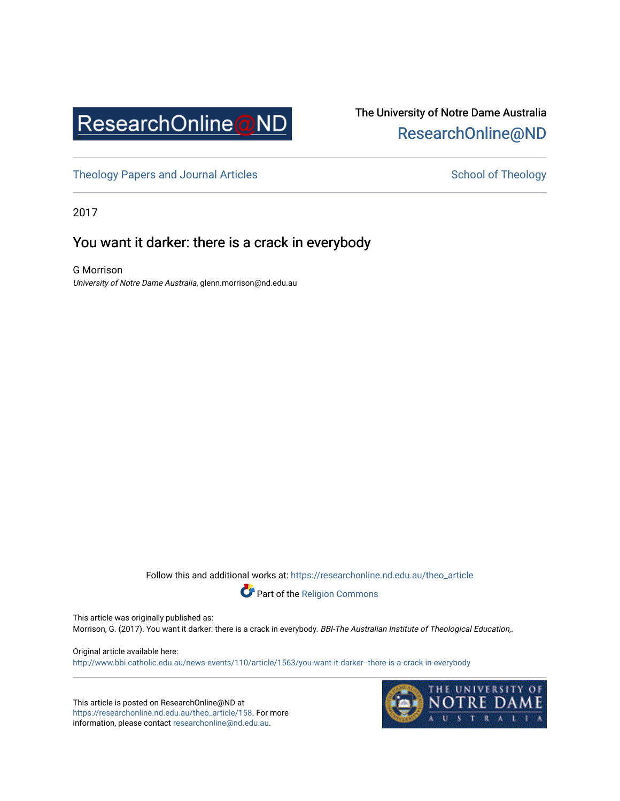

## The University of Notre Dame Australia [ResearchOnline@ND](https://researchonline.nd.edu.au/)

[Theology Papers and Journal Articles](https://researchonline.nd.edu.au/theo_article) and [School of Theology](https://researchonline.nd.edu.au/theo) School of Theology

2017

## You want it darker: there is a crack in everybody

G Morrison University of Notre Dame Australia, glenn.morrison@nd.edu.au

Follow this and additional works at: [https://researchonline.nd.edu.au/theo\\_article](https://researchonline.nd.edu.au/theo_article?utm_source=researchonline.nd.edu.au%2Ftheo_article%2F158&utm_medium=PDF&utm_campaign=PDFCoverPages) 



This article was originally published as:

Morrison, G. (2017). You want it darker: there is a crack in everybody. BBI-The Australian Institute of Theological Education,.

Original article available here:

<http://www.bbi.catholic.edu.au/news-events/110/article/1563/you-want-it-darker--there-is-a-crack-in-everybody>

This article is posted on ResearchOnline@ND at [https://researchonline.nd.edu.au/theo\\_article/158](https://researchonline.nd.edu.au/theo_article/158). For more information, please contact [researchonline@nd.edu.au.](mailto:researchonline@nd.edu.au)

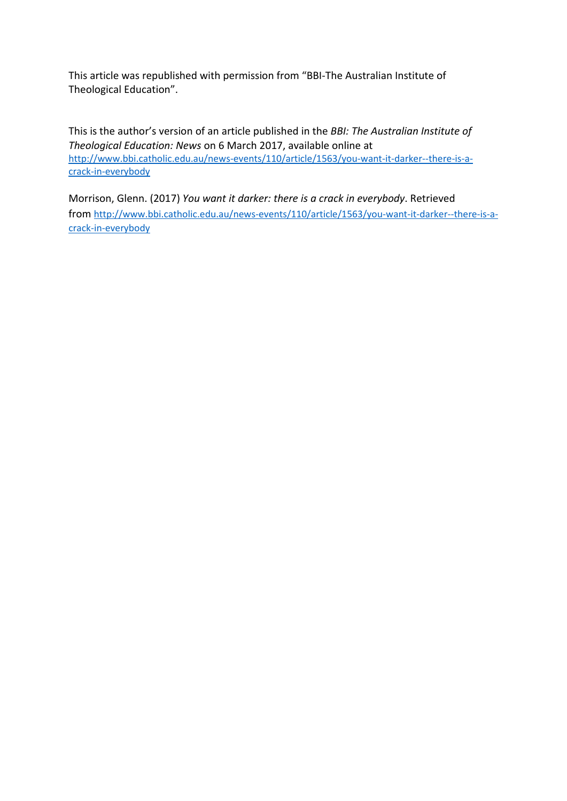This article was republished with permission from "BBI-The Australian Institute of Theological Education".

This is the author's version of an article published in the *BBI: The Australian Institute of Theological Education: News* on 6 March 2017, available online at [http://www.bbi.catholic.edu.au/news-events/110/article/1563/you-want-it-darker--there-is-a](http://www.bbi.catholic.edu.au/news-events/110/article/1563/you-want-it-darker--there-is-a-crack-in-everybody)[crack-in-everybody](http://www.bbi.catholic.edu.au/news-events/110/article/1563/you-want-it-darker--there-is-a-crack-in-everybody)

Morrison, Glenn. (2017) *You want it darker: there is a crack in everybody*. Retrieved from [http://www.bbi.catholic.edu.au/news-events/110/article/1563/you-want-it-darker--there-is-a](http://www.bbi.catholic.edu.au/news-events/110/article/1563/you-want-it-darker--there-is-a-crack-in-everybody)[crack-in-everybody](http://www.bbi.catholic.edu.au/news-events/110/article/1563/you-want-it-darker--there-is-a-crack-in-everybody)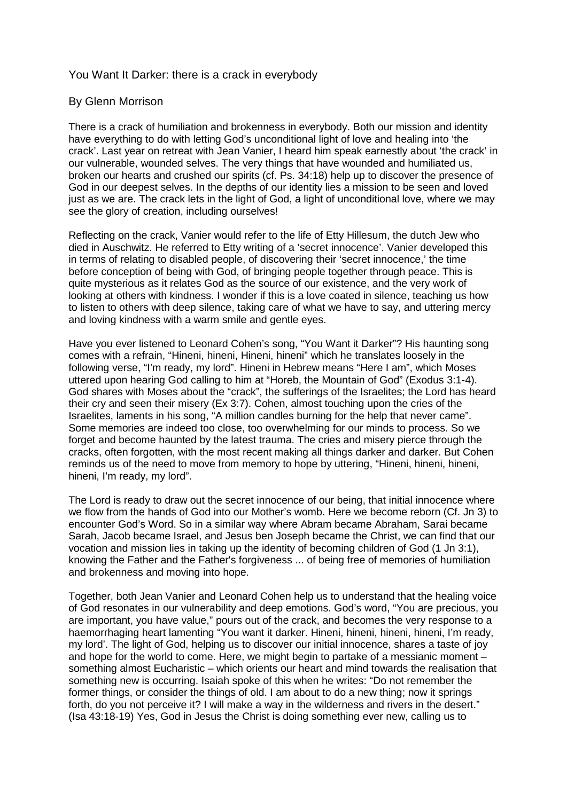## You Want It Darker: there is a crack in everybody

## By Glenn Morrison

There is a crack of humiliation and brokenness in everybody. Both our mission and identity have everything to do with letting God's unconditional light of love and healing into 'the crack'. Last year on retreat with Jean Vanier, I heard him speak earnestly about 'the crack' in our vulnerable, wounded selves. The very things that have wounded and humiliated us, broken our hearts and crushed our spirits (cf. Ps. 34:18) help up to discover the presence of God in our deepest selves. In the depths of our identity lies a mission to be seen and loved just as we are. The crack lets in the light of God, a light of unconditional love, where we may see the glory of creation, including ourselves!

Reflecting on the crack, Vanier would refer to the life of Etty Hillesum, the dutch Jew who died in Auschwitz. He referred to Etty writing of a 'secret innocence'. Vanier developed this in terms of relating to disabled people, of discovering their 'secret innocence,' the time before conception of being with God, of bringing people together through peace. This is quite mysterious as it relates God as the source of our existence, and the very work of looking at others with kindness. I wonder if this is a love coated in silence, teaching us how to listen to others with deep silence, taking care of what we have to say, and uttering mercy and loving kindness with a warm smile and gentle eyes.

Have you ever listened to Leonard Cohen's song, "You Want it Darker"? His haunting song comes with a refrain, "Hineni, hineni, Hineni, hineni" which he translates loosely in the following verse, "I'm ready, my lord". Hineni in Hebrew means "Here I am", which Moses uttered upon hearing God calling to him at "Horeb, the Mountain of God" (Exodus 3:1-4). God shares with Moses about the "crack", the sufferings of the Israelites; the Lord has heard their cry and seen their misery (Ex 3:7). Cohen, almost touching upon the cries of the Israelites, laments in his song, "A million candles burning for the help that never came". Some memories are indeed too close, too overwhelming for our minds to process. So we forget and become haunted by the latest trauma. The cries and misery pierce through the cracks, often forgotten, with the most recent making all things darker and darker. But Cohen reminds us of the need to move from memory to hope by uttering, "Hineni, hineni, hineni, hineni, I'm ready, my lord".

The Lord is ready to draw out the secret innocence of our being, that initial innocence where we flow from the hands of God into our Mother's womb. Here we become reborn (Cf. Jn 3) to encounter God's Word. So in a similar way where Abram became Abraham, Sarai became Sarah, Jacob became Israel, and Jesus ben Joseph became the Christ, we can find that our vocation and mission lies in taking up the identity of becoming children of God (1 Jn 3:1), knowing the Father and the Father's forgiveness ... of being free of memories of humiliation and brokenness and moving into hope.

Together, both Jean Vanier and Leonard Cohen help us to understand that the healing voice of God resonates in our vulnerability and deep emotions. God's word, "You are precious, you are important, you have value," pours out of the crack, and becomes the very response to a haemorrhaging heart lamenting "You want it darker. Hineni, hineni, hineni, hineni, I'm ready, my lord'. The light of God, helping us to discover our initial innocence, shares a taste of joy and hope for the world to come. Here, we might begin to partake of a messianic moment – something almost Eucharistic – which orients our heart and mind towards the realisation that something new is occurring. Isaiah spoke of this when he writes: "Do not remember the former things, or consider the things of old. I am about to do a new thing; now it springs forth, do you not perceive it? I will make a way in the wilderness and rivers in the desert." (Isa 43:18-19) Yes, God in Jesus the Christ is doing something ever new, calling us to